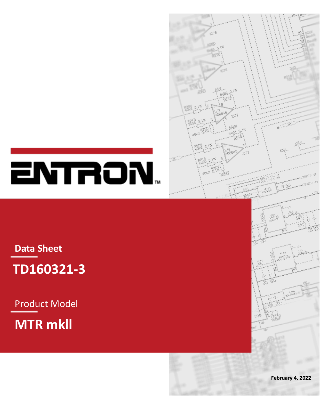

# ENTRON.

**Data Sheet**



Product Model

**MTR mkll**

**February 4, 2022**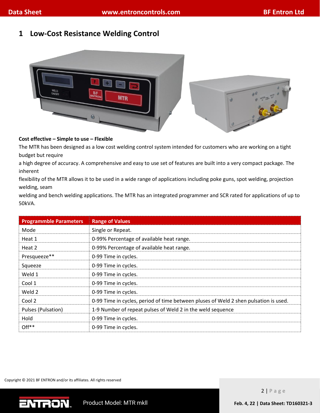# **1 Low-Cost Resistance Welding Control**



### **Cost effective – Simple to use – Flexible**

The MTR has been designed as a low cost welding control system intended for customers who are working on a tight budget but require

a high degree of accuracy. A comprehensive and easy to use set of features are built into a very compact package. The inherent

flexibility of the MTR allows it to be used in a wide range of applications including poke guns, spot welding, projection welding, seam

welding and bench welding applications. The MTR has an integrated programmer and SCR rated for applications of up to 50kVA.

| <b>Programmble Parameters</b> | <b>Range of Values</b>                                                               |  |  |  |
|-------------------------------|--------------------------------------------------------------------------------------|--|--|--|
| Mode                          | Single or Repeat.                                                                    |  |  |  |
| Heat 1                        | 0-99% Percentage of available heat range.                                            |  |  |  |
| Heat 2                        | 0-99% Percentage of available heat range.                                            |  |  |  |
| Presqueeze**                  | 0-99 Time in cycles.                                                                 |  |  |  |
| Squeeze                       | 0-99 Time in cycles.                                                                 |  |  |  |
| Weld 1                        | 0-99 Time in cycles.                                                                 |  |  |  |
| Cool 1                        | 0-99 Time in cycles.                                                                 |  |  |  |
| Weld 2                        | 0-99 Time in cycles.                                                                 |  |  |  |
| Cool 2                        | 0-99 Time in cycles, period of time between pluses of Weld 2 shen pulsation is used. |  |  |  |
| Pulses (Pulsation)            | 1-9 Number of repeat pulses of Weld 2 in the weld sequence                           |  |  |  |
| Hold                          | 0-99 Time in cycles.                                                                 |  |  |  |
| Off <sup>**</sup>             | 0-99 Time in cycles.                                                                 |  |  |  |

Copyright © 2021 BF ENTRON and/or its affiliates. All rights reserved

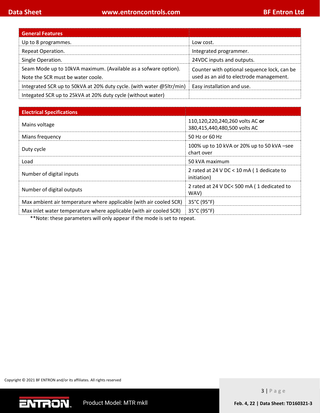| <b>General Features</b>                                              |                                             |  |
|----------------------------------------------------------------------|---------------------------------------------|--|
| Up to 8 programmes.                                                  | Low cost.                                   |  |
| Repeat Operation.                                                    | Integrated programmer.                      |  |
| Single Operation.                                                    | 24VDC inputs and outputs.                   |  |
| Seam Mode up to 10kVA maximum. (Available as a sofware option).      | Counter with optional sequence lock, can be |  |
| Note the SCR must be water coole.                                    | used as an aid to electrode management.     |  |
| Integrated SCR up to 50kVA at 20% duty cycle. (with water @5ltr/min) | Easy installation and use.                  |  |
| Integated SCR up to 25kVA at 20% duty cycle (without water)          |                                             |  |

| <b>Electrical Specifications</b>                                   |                                                                 |  |
|--------------------------------------------------------------------|-----------------------------------------------------------------|--|
| Mains voltage                                                      | 110,120,220,240,260 volts AC or<br>380,415,440,480,500 volts AC |  |
| Mians frequency                                                    | 50 Hz or 60 Hz                                                  |  |
| Duty cycle                                                         | 100% up to 10 kVA or 20% up to 50 kVA -see<br>chart over        |  |
| Load                                                               | 50 kVA maximum                                                  |  |
| Number of digital inputs                                           | 2 rated at 24 V DC < 10 mA (1 dedicate to<br>initiation)        |  |
| Number of digital outputs                                          | 2 rated at 24 V DC< 500 mA (1 dedicated to<br>WAV)              |  |
| Max ambient air temperature where applicable (with air cooled SCR) | 35°C (95°F)                                                     |  |
| Max inlet water temperature where applicable (with air cooled SCR) | 35°C (95°F)                                                     |  |

\*\*Note: these parameters will only appear if the mode is set to repeat.

Copyright © 2021 BF ENTRON and/or its affiliates. All rights reserved

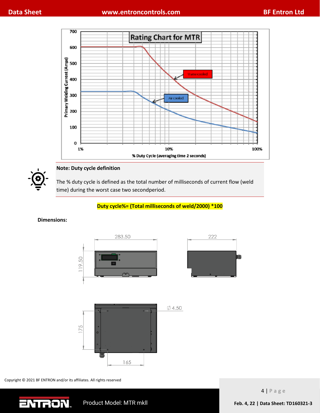



# **Note: Duty cycle definition**

The % duty cycle is defined as the total number of milliseconds of current flow (weld time) during the worst case two secondperiod.

## **Duty cycle%= (Total milliseconds of weld/2000) \*100**

#### **Dimensions:**







Copyright © 2021 BF ENTRON and/or its affiliates. All rights reserved